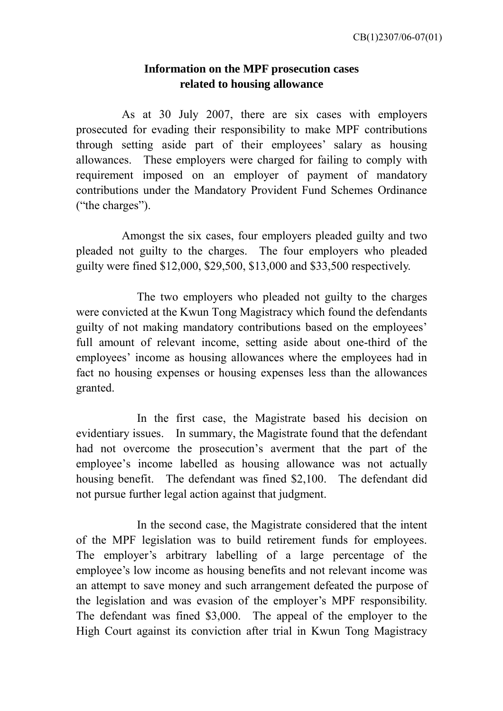## **Information on the MPF prosecution cases related to housing allowance**

 As at 30 July 2007, there are six cases with employers prosecuted for evading their responsibility to make MPF contributions through setting aside part of their employees' salary as housing allowances. These employers were charged for failing to comply with requirement imposed on an employer of payment of mandatory contributions under the Mandatory Provident Fund Schemes Ordinance ("the charges").

 Amongst the six cases, four employers pleaded guilty and two pleaded not guilty to the charges. The four employers who pleaded guilty were fined \$12,000, \$29,500, \$13,000 and \$33,500 respectively.

The two employers who pleaded not guilty to the charges were convicted at the Kwun Tong Magistracy which found the defendants guilty of not making mandatory contributions based on the employees' full amount of relevant income, setting aside about one-third of the employees' income as housing allowances where the employees had in fact no housing expenses or housing expenses less than the allowances granted.

In the first case, the Magistrate based his decision on evidentiary issues. In summary, the Magistrate found that the defendant had not overcome the prosecution's averment that the part of the employee's income labelled as housing allowance was not actually housing benefit. The defendant was fined \$2,100. The defendant did not pursue further legal action against that judgment.

 In the second case, the Magistrate considered that the intent of the MPF legislation was to build retirement funds for employees. The employer's arbitrary labelling of a large percentage of the employee's low income as housing benefits and not relevant income was an attempt to save money and such arrangement defeated the purpose of the legislation and was evasion of the employer's MPF responsibility. The defendant was fined \$3,000. The appeal of the employer to the High Court against its conviction after trial in Kwun Tong Magistracy